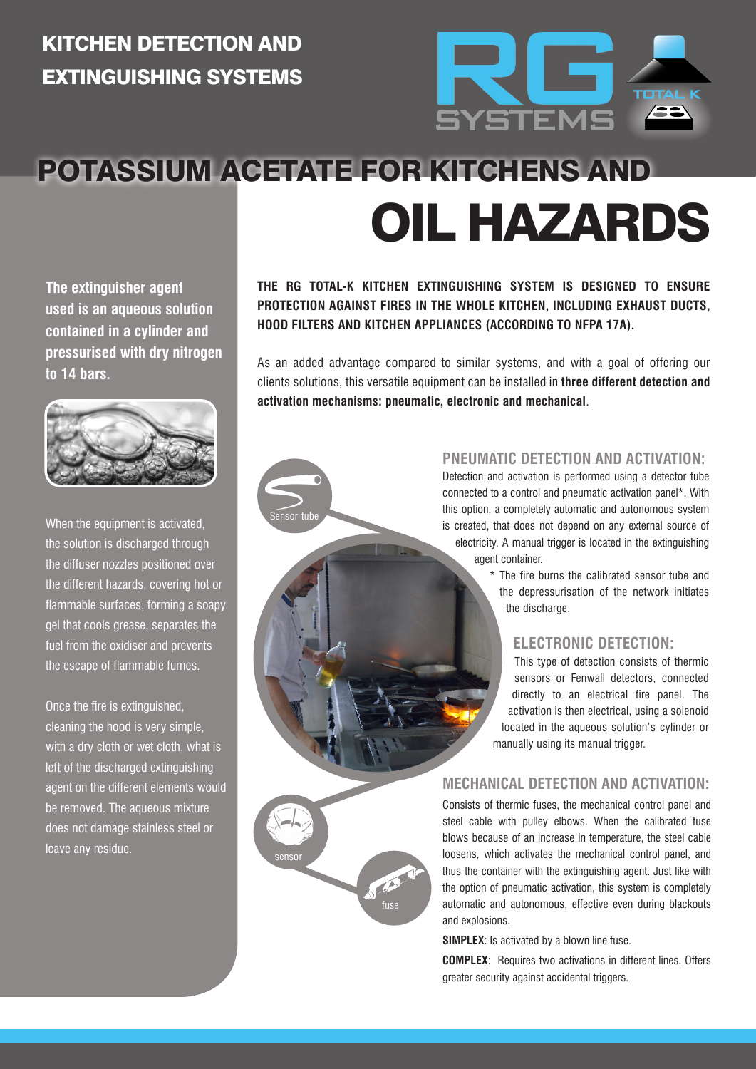### KITCHEN DETECTION AND EXTINGUISHING SYSTEMS



## POTASSIUM ACETATE FOR KITCHENS AND OIL HAZARDS

Sensor tube

sensor

fuse

**The extinguisher agent used is an aqueous solution contained in a cylinder and pressurised with dry nitrogen to 14 bars.**



When the equipment is activated, the solution is discharged through the diffuser nozzles positioned over the different hazards, covering hot or flammable surfaces, forming a soapy gel that cools grease, separates the fuel from the oxidiser and prevents the escape of flammable fumes.

Once the fire is extinguished, cleaning the hood is very simple, with a dry cloth or wet cloth, what is left of the discharged extinguishing agent on the different elements would be removed. The aqueous mixture does not damage stainless steel or leave any residue.

#### **THE RG TOTAL-K KITCHEN EXTINGUISHING SYSTEM IS DESIGNED TO ENSURE PROTECTION AGAINST FIRES IN THE WHOLE KITCHEN, INCLUDING EXHAUST DUCTS, HOOD FILTERS AND KITCHEN APPLIANCES (ACCORDING TO NFPA 17A).**

As an added advantage compared to similar systems, and with a goal of offering our clients solutions, this versatile equipment can be installed in **three different detection and activation mechanisms: pneumatic, electronic and mechanical**.

#### **PNEUMATIC DETECTION AND ACTIVATION:**

Detection and activation is performed using a detector tube connected to a control and pneumatic activation panel\*. With this option, a completely automatic and autonomous system is created, that does not depend on any external source of electricity. A manual trigger is located in the extinguishing agent container.

> \* The fire burns the calibrated sensor tube and the depressurisation of the network initiates the discharge.

#### **ELECTRONIC DETECTION:**

This type of detection consists of thermic sensors or Fenwall detectors, connected directly to an electrical fire panel. The activation is then electrical, using a solenoid located in the aqueous solution's cylinder or manually using its manual trigger.

#### **MECHANICAL DETECTION AND ACTIVATION:**

Consists of thermic fuses, the mechanical control panel and steel cable with pulley elbows. When the calibrated fuse blows because of an increase in temperature, the steel cable loosens, which activates the mechanical control panel, and thus the container with the extinguishing agent. Just like with the option of pneumatic activation, this system is completely automatic and autonomous, effective even during blackouts and explosions.

**SIMPLEX**: Is activated by a blown line fuse.

**COMPLEX**: Requires two activations in different lines. Offers greater security against accidental triggers.